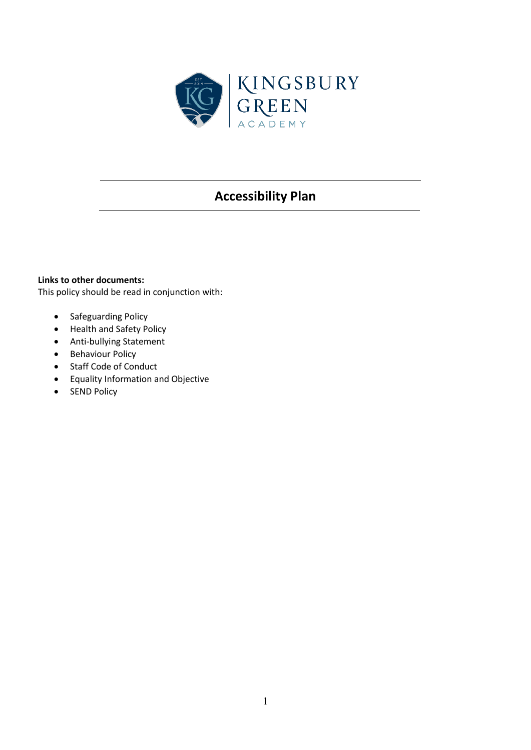

# **Accessibility Plan**

## **Links to other documents:**

This policy should be read in conjunction with:

- Safeguarding Policy
- Health and Safety Policy
- Anti-bullying Statement
- Behaviour Policy
- Staff Code of Conduct
- Equality Information and Objective
- SEND Policy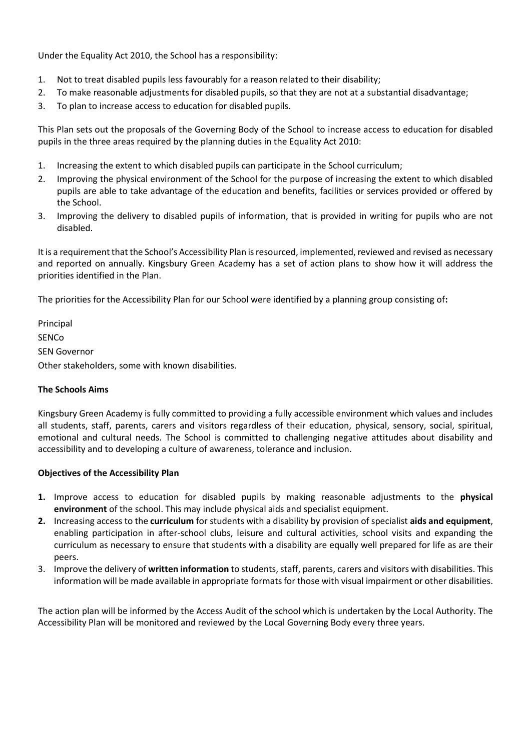Under the Equality Act 2010, the School has a responsibility:

- 1. Not to treat disabled pupils less favourably for a reason related to their disability;
- 2. To make reasonable adjustments for disabled pupils, so that they are not at a substantial disadvantage;
- 3. To plan to increase access to education for disabled pupils.

This Plan sets out the proposals of the Governing Body of the School to increase access to education for disabled pupils in the three areas required by the planning duties in the Equality Act 2010:

- 1. Increasing the extent to which disabled pupils can participate in the School curriculum;
- 2. Improving the physical environment of the School for the purpose of increasing the extent to which disabled pupils are able to take advantage of the education and benefits, facilities or services provided or offered by the School.
- 3. Improving the delivery to disabled pupils of information, that is provided in writing for pupils who are not disabled.

It is a requirement that the School's Accessibility Plan is resourced, implemented, reviewed and revised as necessary and reported on annually. Kingsbury Green Academy has a set of action plans to show how it will address the priorities identified in the Plan.

The priorities for the Accessibility Plan for our School were identified by a planning group consisting of**:** 

Principal **SENCo** SEN Governor Other stakeholders, some with known disabilities.

#### **The Schools Aims**

Kingsbury Green Academy is fully committed to providing a fully accessible environment which values and includes all students, staff, parents, carers and visitors regardless of their education, physical, sensory, social, spiritual, emotional and cultural needs. The School is committed to challenging negative attitudes about disability and accessibility and to developing a culture of awareness, tolerance and inclusion.

#### **Objectives of the Accessibility Plan**

- **1.** Improve access to education for disabled pupils by making reasonable adjustments to the **physical environment** of the school. This may include physical aids and specialist equipment.
- **2.** Increasing access to the **curriculum** for students with a disability by provision of specialist **aids and equipment**, enabling participation in after-school clubs, leisure and cultural activities, school visits and expanding the curriculum as necessary to ensure that students with a disability are equally well prepared for life as are their peers.
- 3. Improve the delivery of **written information** to students, staff, parents, carers and visitors with disabilities. This information will be made available in appropriate formats for those with visual impairment or other disabilities.

The action plan will be informed by the Access Audit of the school which is undertaken by the Local Authority. The Accessibility Plan will be monitored and reviewed by the Local Governing Body every three years.